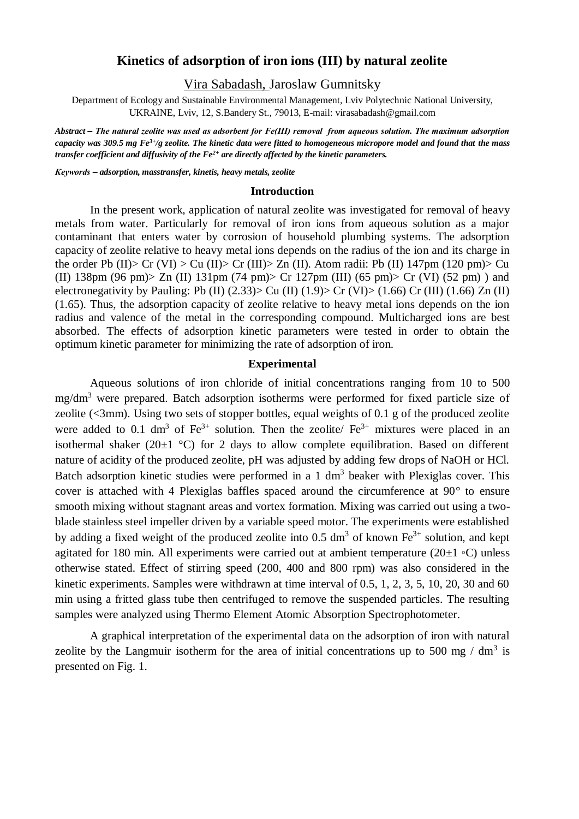# **Kinetics of adsorption of iron ions (III) by natural zeolite**

Vira Sabadash, Jaroslaw Gumnitsky

Department of Ecology and Sustainable Environmental Management, Lviv Polytechnic National University, UKRAINE, Lviv, 12, S.Bandery St., 79013, E-mail: virasabadash@gmail.com

*Abstract – The natural zeolite was used as adsorbent for Fe(ІІІ) removal from aqueous solution. The maximum adsorption capacity was 309.5 mg Fe3+/g zeolite. The kinetic data were fitted to homogeneous micropore model and found that the mass transfer coefficient and diffusivity of the Fe2+ are directly affected by the kinetic parameters.* 

*Кеуwords – adsorption, masstransfer, kinetis, heavy metals, zeolite*

#### **Introduction**

In the present work, application of natural zeolite was investigated for removal of heavy metals from water. Particularly for removal of iron ions from aqueous solution as a major contaminant that enters water by corrosion of household plumbing systems. The adsorption capacity of zeolite relative to heavy metal ions depends on the radius of the ion and its charge in the order Pb (II)> Cr (VI) > Cu (II)> Cr (III)> Zn (II). Atom radii: Pb (II) 147pm (120 pm)> Cu (II) 138pm (96 pm)> Zn (II) 131pm (74 pm)> Cr 127pm (III) (65 pm)> Cr (VI) (52 pm)) and electronegativity by Pauling: Pb (II)  $(2.33)$  Cu (II)  $(1.9)$  Cr (VI)  $(1.66)$  Cr (III)  $(1.66)$  Zn (II) (1.65). Thus, the adsorption capacity of zeolite relative to heavy metal ions depends on the ion radius and valence of the metal in the corresponding compound. Multicharged ions are best absorbed. The effects of adsorption kinetic parameters were tested in order to obtain the optimum kinetic parameter for minimizing the rate of adsorption of iron.

#### **Experimental**

Aqueous solutions of iron chloride of initial concentrations ranging from 10 to 500 mg/dm<sup>3</sup> were prepared. Batch adsorption isotherms were performed for fixed particle size of zeolite (<3mm). Using two sets of stopper bottles, equal weights of 0.1 g of the produced zeolite were added to 0.1 dm<sup>3</sup> of Fe<sup>3+</sup> solution. Then the zeolite/ Fe<sup>3+</sup> mixtures were placed in an isothermal shaker (20 $\pm$ 1 °C) for 2 days to allow complete equilibration. Based on different nature of acidity of the produced zeolite, pH was adjusted by adding few drops of NaOH or HCl. Batch adsorption kinetic studies were performed in a 1 dm<sup>3</sup> beaker with Plexiglas cover. This cover is attached with 4 Plexiglas baffles spaced around the circumference at 90° to ensure smooth mixing without stagnant areas and vortex formation. Mixing was carried out using a twoblade stainless steel impeller driven by a variable speed motor. The experiments were established by adding a fixed weight of the produced zeolite into 0.5 dm<sup>3</sup> of known  $Fe^{3+}$  solution, and kept agitated for 180 min. All experiments were carried out at ambient temperature ( $20±1 °C$ ) unless otherwise stated. Effect of stirring speed (200, 400 and 800 rpm) was also considered in the kinetic experiments. Samples were withdrawn at time interval of 0.5, 1, 2, 3, 5, 10, 20, 30 and 60 min using a fritted glass tube then centrifuged to remove the suspended particles. The resulting samples were analyzed using Thermo Element Atomic Absorption Spectrophotometer.

A graphical interpretation of the experimental data on the adsorption of iron with natural zeolite by the Langmuir isotherm for the area of initial concentrations up to 500 mg /  $dm<sup>3</sup>$  is presented on Fig. 1.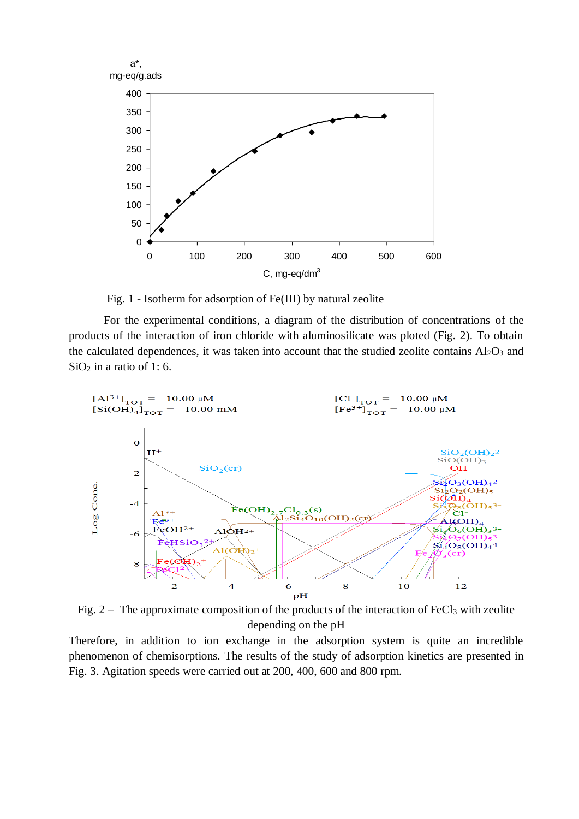

Fig. 1 - Isotherm for adsorption of Fe(III) by natural zeolite

For the experimental conditions, a diagram of the distribution of concentrations of the products of the interaction of iron chloride with aluminosilicate was ploted (Fig. 2). To obtain the calculated dependences, it was taken into account that the studied zeolite contains  $Al_2O_3$  and  $SiO<sub>2</sub>$  in a ratio of 1:6.



Fig.  $2 -$  The approximate composition of the products of the interaction of FeCl<sub>3</sub> with zeolite depending on the pH

Therefore, in addition to ion exchange in the adsorption system is quite an incredible phenomenon of chemisorptions. The results of the study of adsorption kinetics are presented in Fig. 3. Agitation speeds were carried out at 200, 400, 600 and 800 rpm.